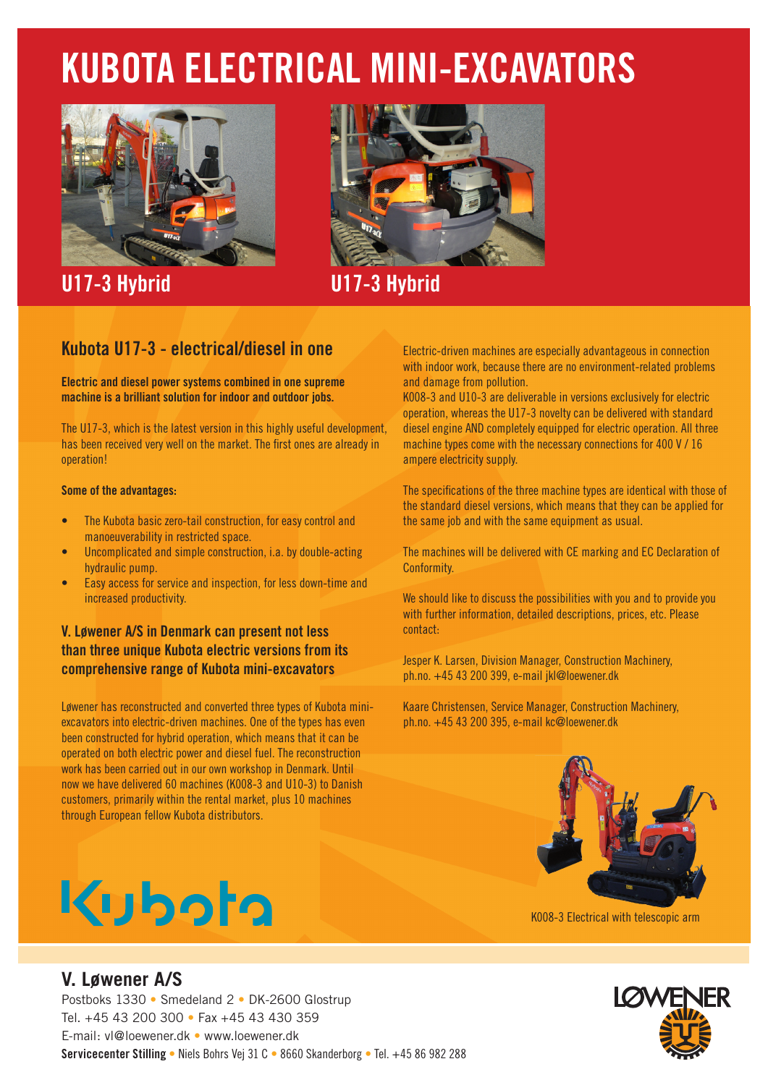## **KUBOTA ELECTRICAL MINI-EXCAVATORS**



**U17-3 Hybrid U17-3 Hybrid**



## **Kubota U17-3 - electrical/diesel in one**

**Electric and diesel power systems combined in one supreme machine is a brilliant solution for indoor and outdoor jobs.**

The U17-3, which is the latest version in this highly useful development, has been received very well on the market. The first ones are already in operation!

#### **Some of the advantages:**

- The Kubota basic zero-tail construction, for easy control and manoeuverability in restricted space.
- Uncomplicated and simple construction, i.a. by double-acting hydraulic pump.
- Easy access for service and inspection, for less down-time and increased productivity.

## **V. Løwener A/S in Denmark can present not less than three unique Kubota electric versions from its comprehensive range of Kubota mini-excavators**

Løwener has reconstructed and converted three types of Kubota miniexcavators into electric-driven machines. One of the types has even been constructed for hybrid operation, which means that it can be operated on both electric power and diesel fuel. The reconstruction work has been carried out in our own workshop in Denmark. Until now we have delivered 60 machines (K008-3 and U10-3) to Danish customers, primarily within the rental market, plus 10 machines through European fellow Kubota distributors.

# Kuboto

## **V. Løwener A/S**

Postboks 1330 • Smedeland 2 • DK-2600 Glostrup Tel. +45 43 200 300 • Fax +45 43 430 359 E-mail: vl@loewener.dk • www.loewener.dk **Servicecenter Stilling** • Niels Bohrs Vej 31 C • 8660 Skanderborg • Tel. +45 86 982 288

Electric-driven machines are especially advantageous in connection with indoor work, because there are no environment-related problems and damage from pollution.

K008-3 and U10-3 are deliverable in versions exclusively for electric operation, whereas the U17-3 novelty can be delivered with standard diesel engine AND completely equipped for electric operation. All three machine types come with the necessary connections for 400 V / 16 ampere electricity supply.

The specifications of the three machine types are identical with those of the standard diesel versions, which means that they can be applied for the same job and with the same equipment as usual.

The machines will be delivered with CE marking and EC Declaration of Conformity.

We should like to discuss the possibilities with you and to provide you with further information, detailed descriptions, prices, etc. Please contact:

Jesper K. Larsen, Division Manager, Construction Machinery, ph.no. +45 43 200 399, e-mail jkl@loewener.dk

Kaare Christensen, Service Manager, Construction Machinery, ph.no. +45 43 200 395, e-mail kc@loewener.dk



K008-3 Electrical with telescopic arm